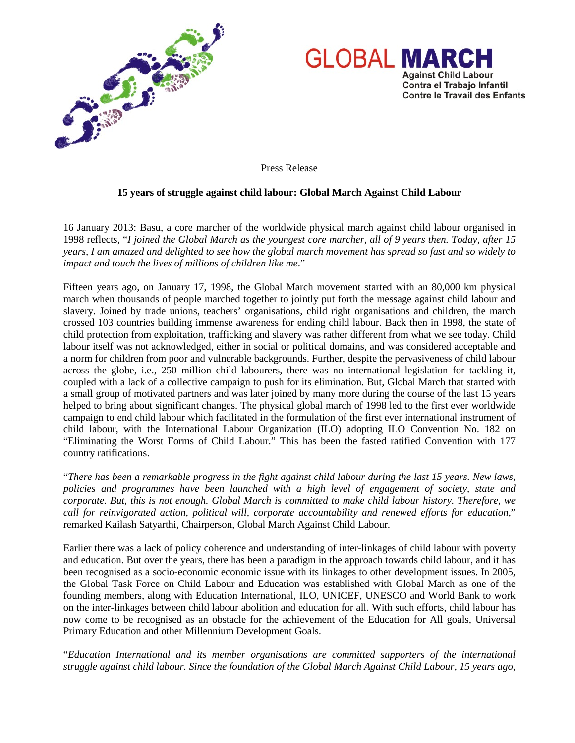



Press Release

## **15 years of struggle against child labour: Global March Against Child Labour**

16 January 2013: Basu, a core marcher of the worldwide physical march against child labour organised in 1998 reflects, "*I joined the Global March as the youngest core marcher, all of 9 years then. Today, after 15 years, I am amazed and delighted to see how the global march movement has spread so fast and so widely to impact and touch the lives of millions of children like me*."

Fifteen years ago, on January 17, 1998, the Global March movement started with an 80,000 km physical march when thousands of people marched together to jointly put forth the message against child labour and slavery. Joined by trade unions, teachers' organisations, child right organisations and children, the march crossed 103 countries building immense awareness for ending child labour. Back then in 1998, the state of child protection from exploitation, trafficking and slavery was rather different from what we see today. Child labour itself was not acknowledged, either in social or political domains, and was considered acceptable and a norm for children from poor and vulnerable backgrounds. Further, despite the pervasiveness of child labour across the globe, i.e., 250 million child labourers, there was no international legislation for tackling it, coupled with a lack of a collective campaign to push for its elimination. But, Global March that started with a small group of motivated partners and was later joined by many more during the course of the last 15 years helped to bring about significant changes. The physical global march of 1998 led to the first ever worldwide campaign to end child labour which facilitated in the formulation of the first ever international instrument of child labour, with the International Labour Organization (ILO) adopting ILO Convention No. 182 on "Eliminating the Worst Forms of Child Labour." This has been the fasted ratified Convention with 177 country ratifications.

"*There has been a remarkable progress in the fight against child labour during the last 15 years. New laws, policies and programmes have been launched with a high level of engagement of society, state and corporate. But, this is not enough. Global March is committed to make child labour history. Therefore, we call for reinvigorated action, political will, corporate accountability and renewed efforts for education*," remarked Kailash Satyarthi, Chairperson, Global March Against Child Labour.

Earlier there was a lack of policy coherence and understanding of inter-linkages of child labour with poverty and education. But over the years, there has been a paradigm in the approach towards child labour, and it has been recognised as a socio-economic economic issue with its linkages to other development issues. In 2005, the Global Task Force on Child Labour and Education was established with Global March as one of the founding members, along with Education International, ILO, UNICEF, UNESCO and World Bank to work on the inter-linkages between child labour abolition and education for all. With such efforts, child labour has now come to be recognised as an obstacle for the achievement of the Education for All goals, Universal Primary Education and other Millennium Development Goals.

"*Education International and its member organisations are committed supporters of the international struggle against child labour. Since the foundation of the Global March Against Child Labour, 15 years ago,*